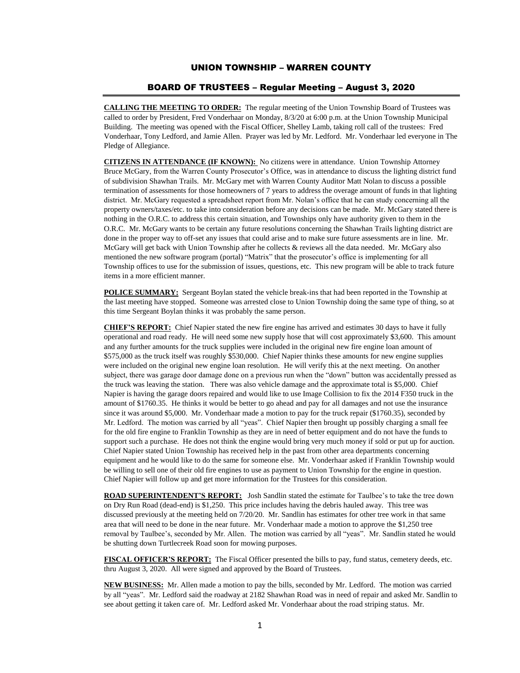## UNION TOWNSHIP – WARREN COUNTY

## BOARD OF TRUSTEES – Regular Meeting – August 3, 2020

**CALLING THE MEETING TO ORDER:** The regular meeting of the Union Township Board of Trustees was called to order by President, Fred Vonderhaar on Monday, 8/3/20 at 6:00 p.m. at the Union Township Municipal Building. The meeting was opened with the Fiscal Officer, Shelley Lamb, taking roll call of the trustees: Fred Vonderhaar, Tony Ledford, and Jamie Allen. Prayer was led by Mr. Ledford. Mr. Vonderhaar led everyone in The Pledge of Allegiance.

**CITIZENS IN ATTENDANCE (IF KNOWN):** No citizens were in attendance. Union Township Attorney Bruce McGary, from the Warren County Prosecutor's Office, was in attendance to discuss the lighting district fund of subdivision Shawhan Trails. Mr. McGary met with Warren County Auditor Matt Nolan to discuss a possible termination of assessments for those homeowners of 7 years to address the overage amount of funds in that lighting district. Mr. McGary requested a spreadsheet report from Mr. Nolan's office that he can study concerning all the property owners/taxes/etc. to take into consideration before any decisions can be made. Mr. McGary stated there is nothing in the O.R.C. to address this certain situation, and Townships only have authority given to them in the O.R.C. Mr. McGary wants to be certain any future resolutions concerning the Shawhan Trails lighting district are done in the proper way to off-set any issues that could arise and to make sure future assessments are in line. Mr. McGary will get back with Union Township after he collects & reviews all the data needed. Mr. McGary also mentioned the new software program (portal) "Matrix" that the prosecutor's office is implementing for all Township offices to use for the submission of issues, questions, etc. This new program will be able to track future items in a more efficient manner.

**POLICE SUMMARY:** Sergeant Boylan stated the vehicle break-ins that had been reported in the Township at the last meeting have stopped. Someone was arrested close to Union Township doing the same type of thing, so at this time Sergeant Boylan thinks it was probably the same person.

**CHIEF'S REPORT:** Chief Napier stated the new fire engine has arrived and estimates 30 days to have it fully operational and road ready. He will need some new supply hose that will cost approximately \$3,600. This amount and any further amounts for the truck supplies were included in the original new fire engine loan amount of \$575,000 as the truck itself was roughly \$530,000. Chief Napier thinks these amounts for new engine supplies were included on the original new engine loan resolution. He will verify this at the next meeting. On another subject, there was garage door damage done on a previous run when the "down" button was accidentally pressed as the truck was leaving the station. There was also vehicle damage and the approximate total is \$5,000. Chief Napier is having the garage doors repaired and would like to use Image Collision to fix the 2014 F350 truck in the amount of \$1760.35. He thinks it would be better to go ahead and pay for all damages and not use the insurance since it was around \$5,000. Mr. Vonderhaar made a motion to pay for the truck repair (\$1760.35), seconded by Mr. Ledford. The motion was carried by all "yeas". Chief Napier then brought up possibly charging a small fee for the old fire engine to Franklin Township as they are in need of better equipment and do not have the funds to support such a purchase. He does not think the engine would bring very much money if sold or put up for auction. Chief Napier stated Union Township has received help in the past from other area departments concerning equipment and he would like to do the same for someone else. Mr. Vonderhaar asked if Franklin Township would be willing to sell one of their old fire engines to use as payment to Union Township for the engine in question. Chief Napier will follow up and get more information for the Trustees for this consideration.

**ROAD SUPERINTENDENT'S REPORT:** Josh Sandlin stated the estimate for Taulbee's to take the tree down on Dry Run Road (dead-end) is \$1,250. This price includes having the debris hauled away. This tree was discussed previously at the meeting held on 7/20/20. Mr. Sandlin has estimates for other tree work in that same area that will need to be done in the near future. Mr. Vonderhaar made a motion to approve the \$1,250 tree removal by Taulbee's, seconded by Mr. Allen. The motion was carried by all "yeas". Mr. Sandlin stated he would be shutting down Turtlecreek Road soon for mowing purposes.

**FISCAL OFFICER'S REPORT:** The Fiscal Officer presented the bills to pay, fund status, cemetery deeds, etc. thru August 3, 2020. All were signed and approved by the Board of Trustees.

**NEW BUSINESS:** Mr. Allen made a motion to pay the bills, seconded by Mr. Ledford. The motion was carried by all "yeas". Mr. Ledford said the roadway at 2182 Shawhan Road was in need of repair and asked Mr. Sandlin to see about getting it taken care of. Mr. Ledford asked Mr. Vonderhaar about the road striping status. Mr.